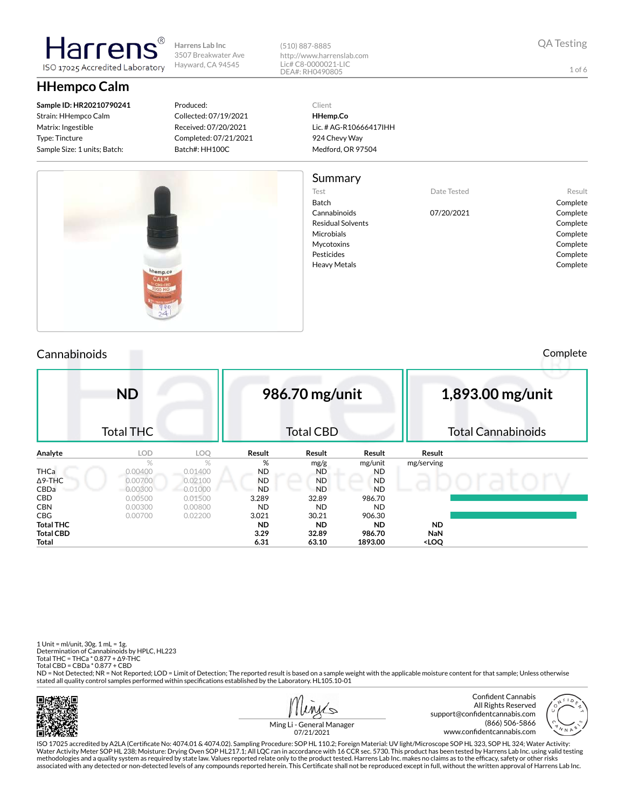**HHempco Calm**

**Sample ID: HR20210790241** Strain: HHempco Calm Matrix: Ingestible Type: Tincture Sample Size: 1 units; Batch:

larrer

ISO 17025 Accredited Laboratory

Produced: Collected: 07/19/2021 Received: 07/20/2021 Completed: 07/21/2021 Batch#: HH100C

(510) 887-8885 http://www.harrenslab.com Lic# C8-0000021-LIC DEA#: RH0490805

Client

**HHemp.Co** Lic. # AG-R10666417IHH 924 Chevy Way Medford, OR 97504

## Summary

Batch Complete

Test **Date Tested** Result Cannabinoids 07/20/2021 Complete Residual Solvents **Complete** Microbials **Complete** Mycotoxins **Complete** Pesticides Complete Heavy Metals **Complete** 

Τľ

| Cannabinoids |  | Complete |
|--------------|--|----------|

|             | <b>ND</b>        |         |           | 986.70 mg/unit   |           |            | 1,893.00 mg/unit          |
|-------------|------------------|---------|-----------|------------------|-----------|------------|---------------------------|
|             | <b>Total THC</b> |         |           | <b>Total CBD</b> |           |            | <b>Total Cannabinoids</b> |
| Analyte     | <b>LOD</b>       | LOQ     | Result    | Result           | Result    | Result     |                           |
|             | $\%$             | %       | %         | mg/g             | mg/unit   | mg/serving |                           |
| <b>THCa</b> | 0.00400          | 0.01400 | ND        | <b>ND</b>        | <b>ND</b> |            |                           |
| Δ9-THC      | 0.00700          | 0.02100 | <b>ND</b> | <b>ND</b>        | <b>ND</b> |            |                           |
| <b>CBDa</b> | 0.00300          | 0.01000 | <b>ND</b> | <b>ND</b>        | <b>ND</b> |            |                           |
| CBD         | 0.00500          | 0.01500 | 3.289     | 32.89            | 986.70    |            |                           |
| CBN         | 0.00300          | 0.00800 | <b>ND</b> | <b>ND</b>        | <b>ND</b> |            |                           |
| CBG         | 0.00700          | 0.02200 | 3.021     | 30.21            | 906.30    |            |                           |
| Total THC   |                  |         | <b>ND</b> | <b>ND</b>        | ND.       | <b>ND</b>  |                           |
| Total CBD   |                  |         | 3.29      | 32.89            | 986.70    | <b>NaN</b> |                           |

**Total 6.31 63.10 1893.00 <LOQ**

ıг

1 Unit = ml/unit, 30g. 1 mL = 1g. Determination of Cannabinoids by HPLC, HL223 Total THC = THCa \* 0.877 + ∆9-THC Total CBD = CBDa \* 0.877 + CBD

ND = Not Detected; NR = Not Reported; LOD = Limit of Detection; The reported result is based on a sample weight with the applicable moisture content for that sample; Unless otherwise stated all quality control samples performed within specifications established by the Laboratory. HL105.10-01







Ming Li - General Manager 07/21/2021

ISO 17025 accredited by A2LA (Certificate No: 4074.01 & 4074.02). Sampling Procedure: SOP HL 110.2; Foreign Material: UV light/Microscope SOP HL 323, SOP HL 324; Water Activity: Water Activity Meter SOP HL 238; Moisture: Drying Oven SOP HL217.1; All LQC ran in accordance with 16 CCR sec. 5730. This product has been tested by Harrens Lab Inc. using valid testing methodologies and a quality system as required by state law. Values reported relate only to the product tested. Harrens Lab Inc. makes no claims as to the efficacy, safety or other risks<br>associated with any detected or non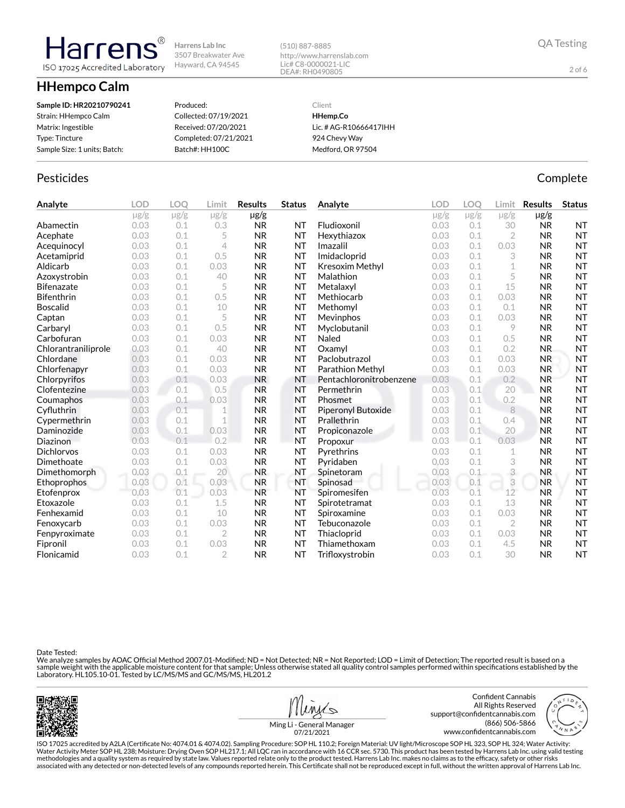**HHempco Calm**

larren ISO 17025 Accredited Laboratory

| Sample ID: HR20210790241     | Produced:             | Client                 |
|------------------------------|-----------------------|------------------------|
| Strain: HHempco Calm         | Collected: 07/19/2021 | HHemp.Co               |
| Matrix: Ingestible           | Received: 07/20/2021  | Lic. # AG-R10666417IHH |
| Type: Tincture               | Completed: 07/21/2021 | 924 Chevy Way          |
| Sample Size: 1 units; Batch: | Batch#: HH100C        | Medford, OR 97504      |

# Pesticides **Complete**

**Analyte LOD LOQ Limit Results Status** µg/g µg/g µg/g µg/g **Abamectin** 0.03 0.1 0.3 **NR NT** Acephate 0.03 0.1 5 NR NT Acequinocyl 0.03 0.1 4 NR NT **Acetamiprid** 0.03 0.1 0.5 NR NT Aldicarb 0.03 0.1 0.03 NR NT Azoxystrobin 0.03 0.1 40 NR NT Bifenazate 0.03 0.1 5 NR NT **Bifenthrin** 0.03 0.1 0.5 NR NT **Boscalid** 0.03 0.1 10 NR NT **Captan 12.1 0.03 0.1 5 NR NT Carbaryl 0.03 0.1 0.5 NR NT** Carbofuran 0.03 0.1 0.03 NR NT Chlorantraniliprole 0.03 0.1 40 NR NT Chlordane 0.03 0.1 0.03 NR NT Chlorfenapyr 0.03 0.1 0.03 NR NT Chlorpyrifos 0.03 0.1 0.03 NR NT Clofentezine 0.03 0.1 0.5 NR NT **Coumaphos** 0.03 0.1 0.03 NR NT Cyfluthrin 0.03 0.1 1 NR NT Cypermethrin 0.03 0.1 1 NR NT **Daminozide** 0.03 0.1 0.03 NR NT **Diazinon** 0.03 0.1 0.2 NR NT Dichlorvos 0.03 0.1 0.03 NR NT **Dimethoate** 0.03 0.1 0.03 NR NT Dimethomorph 0.03 0.1 20 NR NT Ethoprophos 0.03 0.1 0.03 NR NT **Etofenprox 0.03 0.1 0.03 NR NT Etoxazole** 0.03 0.1 1.5 NR NT **Fenhexamid** 0.03 0.1 10 NR NT **Fenoxycarb** 0.03 0.1 0.03 **NR NT** Fenpyroximate 0.03 0.1 2 NR NT Fipronil 0.03 0.1 0.03 NR NT Flonicamid 0.03 0.1 2 NR NT **Analyte LOD LOQ Limit Results Status**  $\mu$ g/g  $\mu$ g/g  $\mu$ g/g  $\mu$ g/g Fludioxonil 0.03 0.1 30 NR NT Hexythiazox 0.03 0.1 2 NR NT **Imazalil 11 0.03 0.1 0.03 NR NT** Imidacloprid 0.03 0.1 3 NR NT Kresoxim Methyl 0.03 0.1 1 NR NT **Malathion** 0.03 0.1 5 **NR NT** Metalaxyl 0.03 0.1 15 NR NT Methiocarb 0.03 0.1 0.03 NR NT **Methomyl 0.03 0.1 0.1 NR NT Mevinphos** 0.03 0.1 0.03 **NR NT** Myclobutanil 0.03 0.1 9 NR NT **Naled 1200 0.03 0.1 0.5 NR NT Oxamyl** 0.03 0.1 0.2 NR NT **Paclobutrazol 0.03 0.1 0.03 NR NT** Parathion Methyl 0.03 0.1 0.03 NR NT Pentachloronitrobenzene 0.03 0.1 0.2 NR NT **Permethrin 0.03 0.1 20 NR NT** Phosmet 0.03 0.1 0.2 NR NT Piperonyl Butoxide 0.03 0.1 8 NR NT **Prallethrin 1996** 0.03 0.1 0.4 **NR NT** Propiconazole 0.03 0.1 20 NR NT Propoxur 0.03 0.1 0.03 NR NT **Pyrethrins 0.03 0.1 1 NR NT** Pyridaben 0.03 0.1 3 NR NT **Spinetoram 10.03 0.1 3 NR NT** Spinosad 0.03 0.1 3 NR NT Spiromesifen 0.03 0.1 12 NR NT Spirotetramat 0.03 0.1 13 NR NT **Spiroxamine** 0.03 0.1 0.03 **NR NT** Tebuconazole 0.03 0.1 2 NR NT Thiacloprid 0.03 0.1 0.03 NR NT Thiamethoxam 0.03 0.1 4.5 NR NT Trifloxystrobin 0.03 0.1 30 NR NT

(510) 887-8885

http://www.harrenslab.com Lic# C8-0000021-LIC DEA#: RH0490805

Date Tested:

We analyze samples by AOAC Official Method 2007.01-Modified; ND = Not Detected; NR = Not Reported; LOD = Limit of Detection; The reported result is based on a sample weight with the applicable moisture content for that sample; Unless otherwise stated all quality control samples performed within specifications established by the<br>Laboratory. HL105.10-01. Tested by LC/MS/MS and GC/





2 of 6

Ming Li - General Manager

ISO 17025 accredited by A2LA (Certificate No: 4074.01 & 4074.02). Sampling Procedure: SOP HL 110.2; Foreign Material: UV light/Microscope SOP HL 323, SOP HL 324; Water Activity: Water Activity Meter SOP HL 238; Moisture: Drying Oven SOP HL217.1; All LQC ran in accordance with 16 CCR sec. 5730. This product has been tested by Harrens Lab Inc. using valid testing methodologies and a quality system as required by state law. Values reported relate only to the product tested. Harrens Lab Inc. makes no claims as to the efficacy, safety or other risks associated with any detected or non-detected levels of any compounds reported herein. This Certificate shall not be reproduced except in full, without the written approval of Harrens Lab Inc.

07/21/2021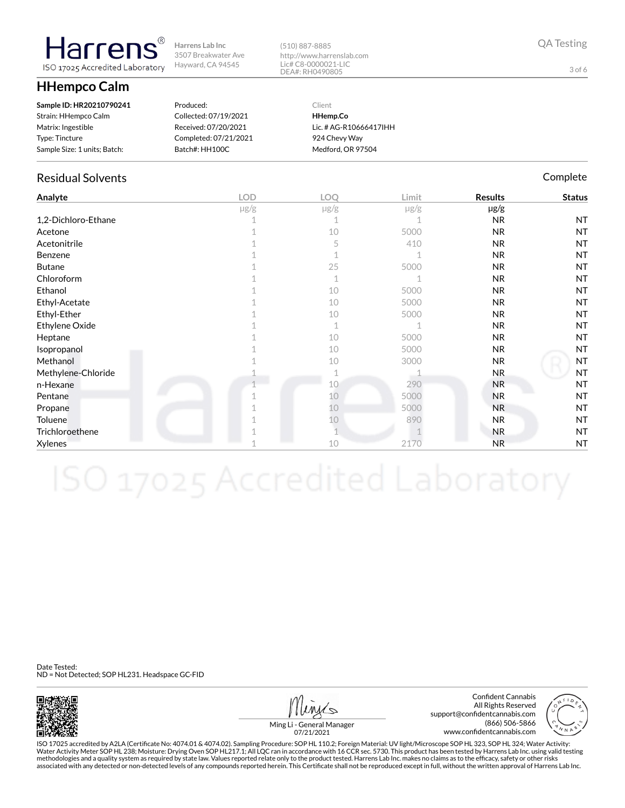**HHempco Calm**

**Harrens** ISO 17025 Accredited Laboratory

| Sample ID: HR20210790241     | Produced:             | Client                 |
|------------------------------|-----------------------|------------------------|
| Strain: HHempco Calm         | Collected: 07/19/2021 | HHemp.Co               |
| Matrix: Ingestible           | Received: 07/20/2021  | Lic. # AG-R10666417IHH |
| Type: Tincture               | Completed: 07/21/2021 | 924 Chevy Way          |
| Sample Size: 1 units; Batch: | Batch#: HH100C        | Medford, OR 97504      |

# Residual Solvents **Complete** Complete Complete Complete Complete Complete Complete

| Analyte             | <b>LOD</b> | LOQ         | Limit     | <b>Results</b> | <b>Status</b> |
|---------------------|------------|-------------|-----------|----------------|---------------|
|                     | $\mu$ g/g  | $\mu$ g/g   | $\mu$ g/g | µg/g           |               |
| 1,2-Dichloro-Ethane |            |             |           | <b>NR</b>      | <b>NT</b>     |
| Acetone             |            | 10          | 5000      | <b>NR</b>      | <b>NT</b>     |
| Acetonitrile        |            | 5           | 410       | <b>NR</b>      | <b>NT</b>     |
| Benzene             |            |             |           | <b>NR</b>      | <b>NT</b>     |
| <b>Butane</b>       |            | 25          | 5000      | <b>NR</b>      | <b>NT</b>     |
| Chloroform          |            | $\mathbf 1$ |           | <b>NR</b>      | <b>NT</b>     |
| Ethanol             |            | 10          | 5000      | <b>NR</b>      | <b>NT</b>     |
| Ethyl-Acetate       |            | 10          | 5000      | N <sub>R</sub> | <b>NT</b>     |
| Ethyl-Ether         |            | 10          | 5000      | <b>NR</b>      | <b>NT</b>     |
| Ethylene Oxide      |            | $\mathbf 1$ |           | <b>NR</b>      | <b>NT</b>     |
| Heptane             |            | 10          | 5000      | <b>NR</b>      | <b>NT</b>     |
| Isopropanol         |            | 10          | 5000      | N <sub>R</sub> | <b>NT</b>     |
| Methanol            |            | 10          | 3000      | <b>NR</b>      | <b>NT</b>     |
| Methylene-Chloride  |            |             |           | <b>NR</b>      | <b>NT</b>     |
| n-Hexane            |            | 10          | 290       | <b>NR</b>      | <b>NT</b>     |
| Pentane             |            | 10          | 5000      | <b>NR</b>      | <b>NT</b>     |
| Propane             |            | 10          | 5000      | <b>NR</b>      | <b>NT</b>     |
| Toluene             |            | 10          | 890       | NR             | <b>NT</b>     |
| Trichloroethene     |            |             |           | <b>NR</b>      | <b>NT</b>     |
| Xylenes             |            | 10          | 2170      | <b>NR</b>      | <b>NT</b>     |

(510) 887-8885

http://www.harrenslab.com Lic# C8-0000021-LIC DEA#: RH0490805

Date Tested: ND = Not Detected; SOP HL231. Headspace GC-FID



Confident Cannabis All Rights Reserved support@confidentcannabis.com (866) 506-5866 www.confidentcannabis.com



Ming Li - General Manager 07/21/2021

ISO 17025 accredited by A2LA (Certificate No: 4074.01 & 4074.02). Sampling Procedure: SOP HL 110.2; Foreign Material: UV light/Microscope SOP HL 323, SOP HL 324; Water Activity: Water Activity Meter SOP HL 238; Moisture: Drying Oven SOP HL217.1; All LQC ran in accordance with 16 CCR sec. 5730. This product has been tested by Harrens Lab Inc. using valid testing methodologies and a quality system as required by state law. Values reported relate only to the product tested. Harrens Lab Inc. makes no claims as to the efficacy, safety or other risks<br>associated with any detected or non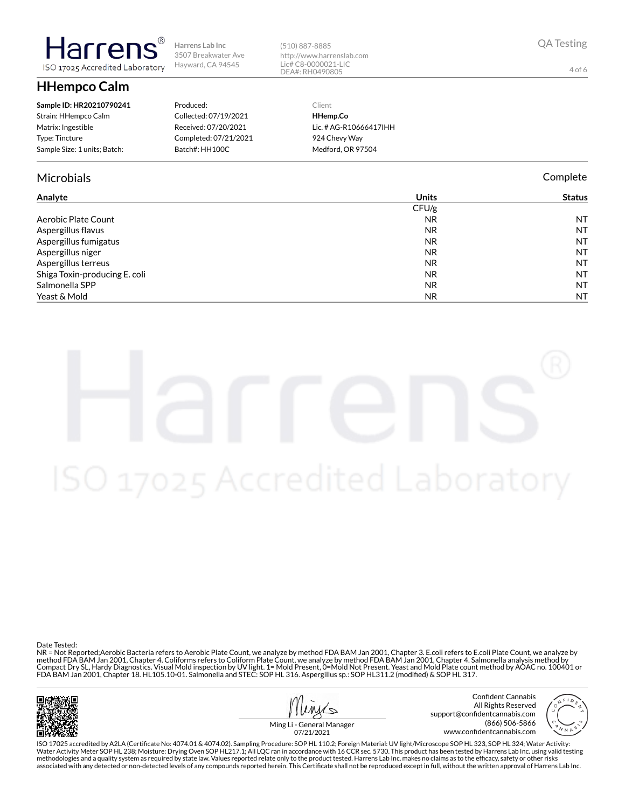

3507 Breakwater Ave

**HHempco Calm**

larrer

ISO 17025 Accredited Laboratory

| Produced:             |
|-----------------------|
| Collected: 07/19/2021 |
| Received: 07/20/2021  |
| Completed: 07/21/2021 |
| Batch#: HH100C        |
|                       |

## Microbials Complete

| Analyte | Jnits | rus |
|---------|-------|-----|
|         | CFU/g |     |

|                               | CFU/g     |           |
|-------------------------------|-----------|-----------|
| Aerobic Plate Count           | <b>NR</b> | <b>NT</b> |
| Aspergillus flavus            | <b>NR</b> | <b>NT</b> |
| Aspergillus fumigatus         | <b>NR</b> | NT        |
| Aspergillus niger             | <b>NR</b> | <b>NT</b> |
| Aspergillus terreus           | <b>NR</b> | <b>NT</b> |
| Shiga Toxin-producing E. coli | <b>NR</b> | <b>NT</b> |
| Salmonella SPP                | <b>NR</b> | <b>NT</b> |
| Yeast & Mold                  | <b>NR</b> | NT        |
|                               |           |           |

(510) 887-8885

http://www.harrenslab.com Lic# C8-0000021-LIC DEA#: RH0490805

> Client **HHemp.Co**

Lic. # AG-R10666417IHH 924 Chevy Way Medford, OR 97504

Date Tested:

NR = Not Reported;Aerobic Bacteria refers to Aerobic Plate Count, we analyze by method FDA BAM Jan 2001, Chapter 3. E.coli refers to E.coli Plate Count, we analyze by method FDA BAM Jan 2001, Chapter 4. Coliforms refers to Coliform Plate Count, we analyze by method FDA BAM Jan 2001, Chapter 4. Salmonella analysis method by Compact Dry SL, Hardy Diagnostics. Visual Mold inspection by UV light. 1= Mold Present, 0=Mold Not Present. Yeast and Mold Plate count method by AOAC no. 100401 or<br>FDA BAM Jan 2001, Chapter 18. HL105.10-01. Salmonella and



Confident Cannabis All Rights Reserved support@confidentcannabis.com (866) 506-5866 www.confidentcannabis.com



Ming Li - General Manager 07/21/2021

ISO 17025 accredited by A2LA (Certificate No: 4074.01 & 4074.02). Sampling Procedure: SOP HL 110.2; Foreign Material: UV light/Microscope SOP HL 323, SOP HL 324; Water Activity: Water Activity Meter SOP HL 238; Moisture: Drying Oven SOP HL217.1; All LQC ran in accordance with 16 CCR sec. 5730. This product has been tested by Harrens Lab Inc. using valid testing methodologies and a quality system as required by state law. Values reported relate only to the product tested. Harrens Lab Inc. makes no claims as to the efficacy, safety or other risks<br>associated with any detected or non

QA Testing

4 of 6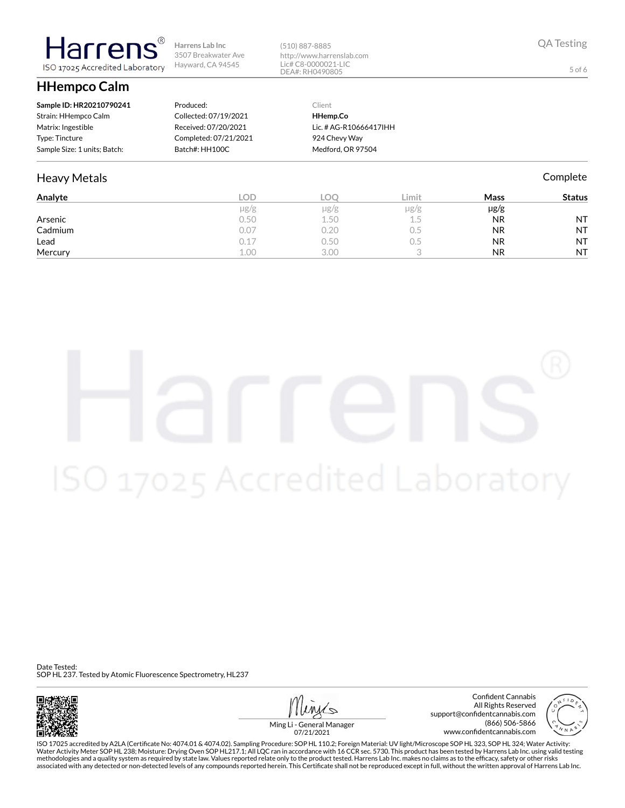**HHempco Calm**

**Harrens** 

ISO 17025 Accredited Laboratory

| Sample ID: HR20210790241     | Produced:             | Client                 |
|------------------------------|-----------------------|------------------------|
| Strain: HHempco Calm         | Collected: 07/19/2021 | HHemp.Co               |
| Matrix: Ingestible           | Received: 07/20/2021  | Lic. # AG-R10666417IHH |
| Type: Tincture               | Completed: 07/21/2021 | 924 Chevy Way          |
| Sample Size: 1 units; Batch: | Batch#: HH100C        | Medford, OR 97504      |

# Heavy Metals **Complete**

| Analyte | LOD.      | LOC  | Limit     | Mass      | <b>Status</b> |
|---------|-----------|------|-----------|-----------|---------------|
|         | $\mu$ g/g | µg/g | $\mu$ g/g | $\mu$ g/g |               |
| Arsenic | 0.50      | 1.50 | 1.5       | <b>NR</b> | <b>NT</b>     |
| Cadmium | 0.07      | 0.20 | U.5       | <b>NR</b> | <b>NT</b>     |
| Lead    | 0.17      | 0.50 | U.5       | <b>NR</b> | <b>NT</b>     |
| Mercury | 1.00      | 3.00 |           | <b>NR</b> | <b>NT</b>     |

(510) 887-8885

http://www.harrenslab.com Lic# C8-0000021-LIC DEA#: RH0490805

Date Tested: SOP HL 237. Tested by Atomic Fluorescence Spectrometry, HL237



Confident Cannabis All Rights Reserved support@confidentcannabis.com (866) 506-5866 www.confidentcannabis.com



Ming Li - General Manager 07/21/2021

ISO 17025 accredited by A2LA (Certificate No: 4074.01 & 4074.02). Sampling Procedure: SOP HL 110.2; Foreign Material: UV light/Microscope SOP HL 323, SOP HL 324; Water Activity: Water Activity Meter SOP HL 238; Moisture: Drying Oven SOP HL217.1; All LQC ran in accordance with 16 CCR sec. 5730. This product has been tested by Harrens Lab Inc. using valid testing methodologies and a quality system as required by state law. Values reported relate only to the product tested. Harrens Lab Inc. makes no claims as to the efficacy, safety or other risks<br>associated with any detected or non

QA Testing

5 of 6